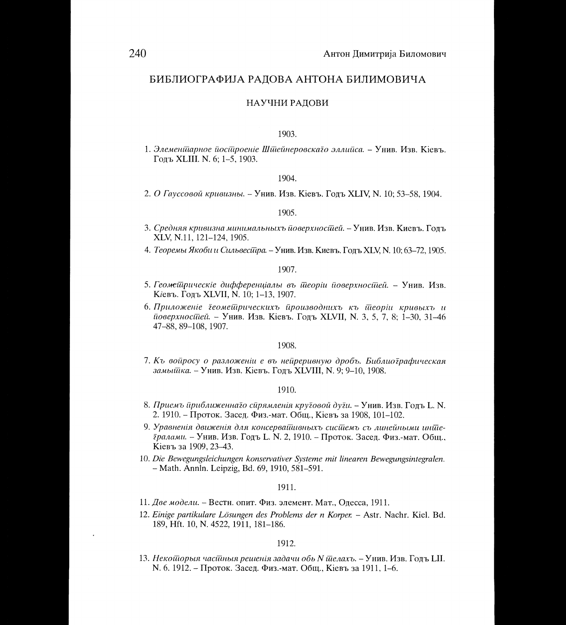## БИБЛИОГРАФИЈА РАДОВА АНТОНА БИЛИМОВИЧА

## НАУЧНИ РАДОВИ

#### 1903.

1. Элеменщарное йосійроеніе Шшейнеровскаго эллийса. – Унив. Изв. Кіевъ. Годъ XLIII. N. 6; 1-5, 1903.

## 1904.

2. О Гауссовой кривизны. - Унив. Изв. Кіевъ. Годъ XLIV, N. 10; 53-58, 1904.

#### 1905.

- 3. Средняя кривизна минимальныхъ йоверхностией. Унив. Изв. Киевъ. Годъ XLV, N.11, 121-124, 1905.
- 4. Теоремы Якоби и Сильвесидра. Унив. Изв. Киевъ. Годъ XLV, N. 10; 63-72, 1905.

## 1907.

- 5. Геометрическіе дифференціалы въ теоріи поверхностией. Унив. Изв. Кіевъ. Годъ XLVII, N. 10; 1-13, 1907.
- 6. Приложеніе геомешрическихъ ироизводнихъ къ шеоріи кривыхъ и поверхностией. - Унив. Изв. Кіевъ. Годъ XLVII, N. 3, 5, 7, 8; 1-30, 31-46 47-88, 89-108, 1907.

## 1908.

7. Къ войросу о разложении е въ нейреривную дробъ. Библиографическая замышка. - Унив. Изв. Кіевъ. Годъ XLVIII, N. 9; 9-10, 1908.

## 1910.

- 8. Приемъ приближеннато спрямленія крутовой дути. Унив. Изв. Годъ L. N. 2. 1910. – Проток. Засед. Физ.-мат. Общ., Кіевъ за 1908, 101-102.
- 9. Уравненія движенія для консервайшвныхъ сисійемъ съ линейными инийе*дралами.* - Унив. Изв. Годъ L. N. 2, 1910. - Проток. Засед. Физ.-мат. Общ., Кіевъ за 1909, 23-43.
- 10. Die Bewegungsleichungen konservativer Systeme mit linearen Bewegungsintegralen. - Math. Annln. Leipzig, Bd. 69, 1910, 581-591.

## 1911.

- 11. Две модели. Вестн. опит. Физ. элемент. Мат., Одесса, 1911.
- 12. Einige partikulare Lösungen des Problems der n Korper. Astr. Nachr. Kiel. Bd. 189, Hft. 10, N. 4522, 1911, 181-186.

## 1912.

13. Некошорыя часшныя решенія задачи обь N шелахъ. - Унив. Изв. Годъ LII. N. 6. 1912. - Проток. Засед. Физ.-мат. Общ., Кіевъ за 1911, 1-6.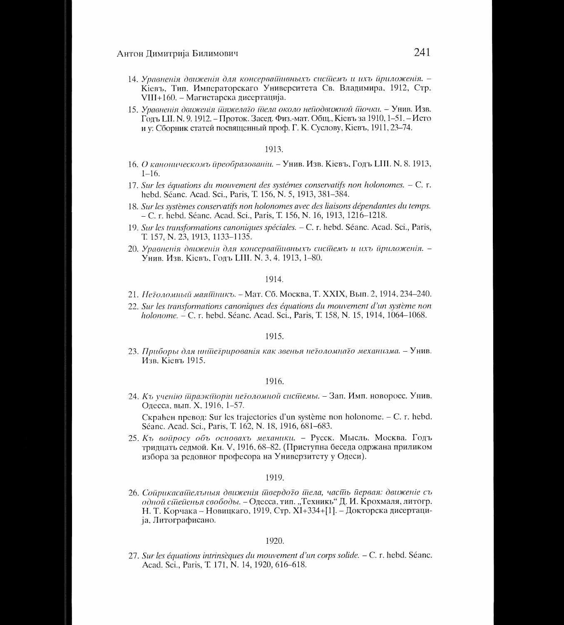- 14. Уравненія движенія для консервайшвныхъ сисійемъ и ихъ йриложенія. -Кіевъ, Тип. Императорскаго Университета Св. Владимира, 1912, Стр. VIII+160. – Магистарска дисертација.
- 15. Уравненія движенія пляжелаго плела около неподвижной плочки. Унив. Изв. Годъ Ш. Н. 9. 1912. – Проток. Засед. Физ.-мат. Общ., Кіевъ за 1910, 1-51. – Исто и у: Сборник статей посвященный проф. Г. К. Суслову, Кіевъ, 1911, 23–74.

## 1913

- 16. О каноническомъ йреобразовании. Унив. Изв. Кіевъ, Годъ LIII. N. 8. 1913,  $1 - 16$
- 17. Sur les équations du mouvement des systémes conservatifs non holonomes.  $C$ . r. hebd. Séanc. Acad. Sci., Paris, T. 156, N. 5, 1913, 381–384.
- 18. Sur les systèmes conservatifs non holonomes avec des liaisons dépendantes du temps. - C. r. hebd. Séanc. Acad. Sci., Paris, T. 156, N. 16, 1913, 1216–1218.
- 19. Sur les transformations canoniques spéciales. C. r. hebd. Séanc. Acad. Sci., Paris, T. 157, N. 23, 1913, 1133-1135.
- 20. Уравненія движенія для консервайшвныхъ сисійемъ и ихъ йриложенія. -Унив. Изв. Кіевъ, Годъ LIII. N. 3, 4. 1913, 1-80.

## 1914.

- 21. Нейоломный маяйникъ. Мат. Сб. Москва, Т. XXIX, Вып. 2, 1914, 234-240.
- 22. Sur les transformations canoniques des équations du mouvement d'un système non holonome. – C. r. hebd. Séanc. Acad. Sci., Paris, T. 158, N. 15, 1914, 1064–1068.

## 1915.

23. Приборы для иншегрированія как звенья неголомнаго механизма. - Унив. Изв. Кіевъ 1915.

#### 1916.

24. Къ ученію шраэкійоріи неїоломной сисійемы. – Зап. Имп. новоросс. Унив. Одесса, вып. Х, 1916, 1-57.

Скраћен превод: Sur les trajectories d'un système non holonome. - С. r. hebd. Séanc. Acad. Sci., Paris, T. 162, N. 18, 1916, 681-683.

25. Къ войросу объ основахъ механики. - Русск. Мысль. Москва. Годъ тридцать седмой. Кн. V, 1916, 68-82. (Приступна беседа одржана приликом избора за редовног професора на Универзитету у Одеси).

#### 1919.

26. Сойрикасайдельныя движенія йдвердого йдела, часйь йервая: движеніе съ одной сійейенья свободы. - Одесса, тип. "Техникь" Д. И. Крохмаля, литогр. Н. Т. Корчака - Новицкаго, 1919, Стр. XI+334+[1]. - Докторска дисертација, Литографисано.

#### 1920.

27. Sur les équations intrinsèques du mouvement d'un corps solide. - C. r. hebd. Séanc. Acad. Sci., Paris, T. 171, N. 14, 1920, 616-618.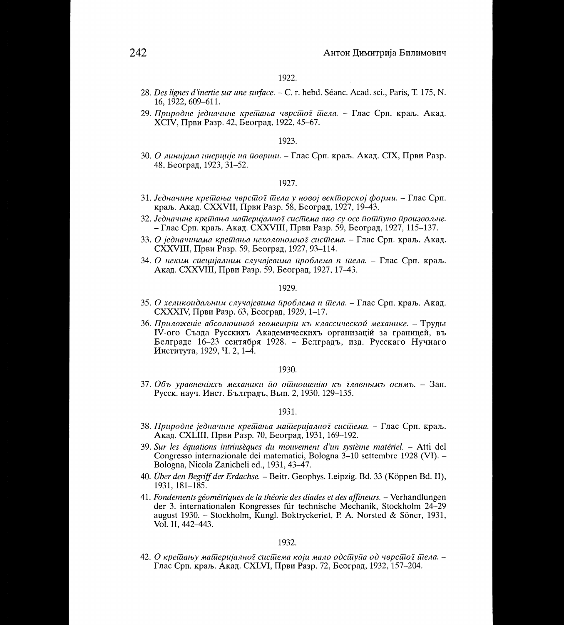- 28. Des lignes d'inertie sur une surface. C. r. hebd. Séanc. Acad. sci., Paris, T. 175, N. 16. 1922. 609–611.
- 29. Природне једначине крешања чврстог тела. Глас Срп. краљ. Акад. XCIV, Први Разр. 42, Београд, 1922, 45-67.

30. О линијама инерције на површи. – Глас Срп. краљ. Акад. СІХ, Први Разр. 48, Београд, 1923, 31-52.

## 1927.

- 31. Једначине крешања чврсшої шела у новој векшорској форми. Глас Срп. краљ. Акад. СХХVII, Први Разр. 58, Београд, 1927, 19-43.
- 32. Једначине крешања машеријално г сисшема ако су осе пошиуно произвољне. – Глас Срп. краљ. Акад. CXXVIII, Први Разр. 59, Београд, 1927, 115–137.
- 33. О једначинама крешања нехолономног сисшема. Глас Срп. краљ. Акад. CXXVIII, Први Разр. 59, Београд, 1927, 93-114.
- 34. О неким сиецијалним случајевима проблема n шела. Глас Срп. краљ. Акад. СХХVIII, Први Разр. 59, Београд, 1927, 17-43.

## 1929.

- 35. О хеликоидаљним случајевима йроблема n йела. Глас Срп. краљ. Акад. CXXXIV, Први Разр. 63, Београд, 1929, 1-17.
- 36. Приложение абсолюшной деомешріи къ классической механике. Труды IV-ого Създа Русскихъ Академическихъ организацій за границей, въ Белграде 16-23 сентября 1928. - Белградъ, изд. Русскаго Нучнаго Института, 1929, Ч. 2, 1-4.

## 1930.

37. Объ уравненіяхъ механики йо ойношенію къ главнымъ осямъ. - Зап. Русск. науч. Инст. Бълградъ, Вып. 2, 1930, 129-135.

#### 1931.

- 38. Природне једначине крешања машеријално г система. Глас Срп. краљ. Акад. СХІІІІ, Први Разр. 70, Београд, 1931, 169–192.
- 39. Sur les équations intrinsèques du mouvement d'un système matériel. Atti del Congresso internazionale dei matematici, Bologna 3–10 settembre 1928 (VI). – Bologna, Nicola Zanicheli ed., 1931, 43-47.
- 40. Über den Begriff der Erdachse. Beitr. Geophys. Leipzig. Bd. 33 (Köppen Bd. II), 1931, 181-185.
- 41. Fondements géométriques de la théorie des diades et des affineurs. Verhandlungen der 3. internationalen Kongresses für technische Mechanik, Stockholm 24–29 august 1930. – Stockholm, Kungl. Boktryckeriet, P. A. Norsted & Söner, 1931, Vol. II, 442-443.

## 1932.

42. О крешању машеријалної сисшема који мало одсшуйа од чврсшої шела. – Глас Срп. краљ. Акад. СХLVI, Први Разр. 72, Београд, 1932, 157-204.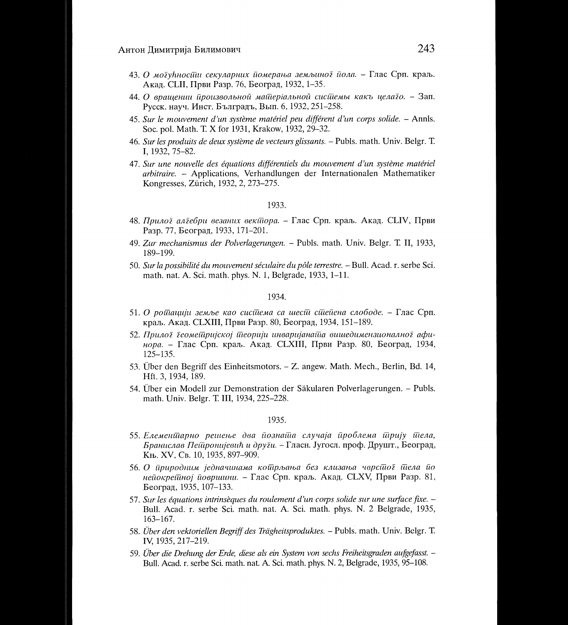- 43. О могућносійн секуларних йомерања земљиног йола. Глас Срп. краљ. Акад. СШ, Први Разр. 76, Београд, 1932, 1-35.
- 44. О врашении йроизвольной майдеріальной сисидемы какъ целаїо. Зап. Русск. науч. Инст. Бълградъ, Вып. 6, 1932, 251-258.
- 45. Sur le mouvement d'un système matériel peu différent d'un corps solide. Annls. Soc. pol. Math. T. X for 1931, Krakow, 1932, 29-32.
- 46. Sur les produits de deux système de vecteurs glissants. Publs. math. Univ. Belgr. T. I, 1932, 75-82.
- 47. Sur une nouvelle des équations différentiels du mouvement d'un système matériel arbitraire. - Applications, Verhandlungen der Internationalen Mathematiker Kongresses, Zürich, 1932, 2, 273–275.

- 48. Прилої аліебри везаних векійора. Глас Срп. краљ. Акад. СLIV, Први Разр. 77, Београд, 1933, 171-201.
- 49. Zur mechanismus der Polverlagerungen. Publs. math. Univ. Belgr. T. II, 1933, 189-199.
- 50. Sur la possibilité du mouvement séculaire du pôle terrestre. Bull. Acad. r. serbe Sci. math. nat. A. Sci. math. phys. N. 1, Belgrade, 1933, 1-11.

#### 1934.

- 51. О ротацији земље као система са шести степена слободе. Глас Срп. краљ. Акад. СLXIII, Први Разр. 80, Београд, 1934, 151-189.
- 52. Прилої їеомещријској шеорији инваријанаша вишедимензионалної афинора. - Глас Срп. краљ. Акад. СLXIII, Први Разр. 80, Београд, 1934,  $125 - 135$ .
- 53. Über den Begriff des Einheitsmotors. Z. angew. Math. Mech., Berlin, Bd. 14, Hft. 3, 1934, 189.
- 54. Über ein Modell zur Demonstration der Säkularen Polverlagerungen. Publs. math. Univ. Belgr. T. III, 1934, 225-228.

- 55. Елеменшарно решење два йознаша случаја йроблема шрију шела, Бранислав Пешронијевић и други. - Гласн. Југосл. проф. Друшт., Београд, Књ. XV, Св. 10, 1935, 897-909.
- 56. О природним једначинама кошрљања без клизања чврсшог шела по нейокрейној йовршини. - Глас Срп. краљ. Акад. CLXV, Први Разр. 81, Београд, 1935, 107-133.
- 57. Sur les équations intrinsèques du roulement d'un corps solide sur une surface fixe. -Bull. Acad. r. serbe Sci. math. nat. A. Sci. math. phys. N. 2 Belgrade, 1935,  $163 - 167.$
- 58. Über den vektoriellen Begriff des Trägheitsproduktes. Publs. math. Univ. Belgr. T. IV, 1935, 217-219.
- 59. Über die Drehung der Erde, diese als ein System von sechs Freiheitsgraden aufgefasst. Bull. Acad. r. serbe Sci. math. nat. A. Sci. math. phys. N. 2, Belgrade, 1935, 95–108.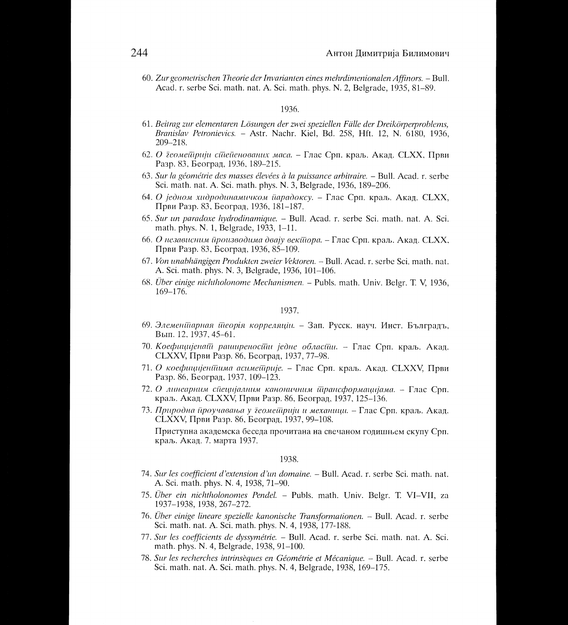60. Zur geometrischen Theorie der Invarianten eines mehrdimenionalen Affinors. - Bull. Acad. r. serbe Sci. math. nat. A. Sci. math. phys. N. 2, Belgrade, 1935, 81–89.

## 1936.

- 61. Beitrag zur elementaren Lösungen der zwei speziellen Fälle der Dreikörperproblems, Branislav Petronievics. - Astr. Nachr. Kiel, Bd. 258, Hft. 12, N. 6180, 1936,  $209 - 218$ .
- 62. О деомейдрији стиейенованих маса. Глас Срп. краљ. Акад. СLXX, Први Разр. 83, Београд, 1936, 189-215.
- 63. Sur la géométrie des masses élevées à la puissance arbitraire. Bull. Acad. r. serbe Sci. math. nat. A. Sci. math. phys. N. 3, Belgrade, 1936, 189–206.
- 64. О једном хидродинамичком йарадоксу. Глас Срп. краљ. Акад. СLXX, Први Разр. 83, Београд, 1936, 181-187.
- 65. Sur un paradoxe hydrodinamique. Bull. Acad. r. serbe Sci. math. nat. A. Sci. math. phys. N. 1, Belgrade, 1933, 1-11.
- 66. О независним ироизводима двају векитора. Глас Срп. краљ. Акад. СLXX, Први Разр. 83, Београд, 1936, 85-109.
- 67. Von unabhängigen Produkten zweier Vektoren. Bull. Acad. r. serbe Sci. math. nat. A. Sci. math. phys. N. 3, Belgrade, 1936, 101-106.
- 68. Über einige nichtholonome Mechanismen. Publs. math. Univ. Belgr. T. V, 1936, 169-176.

## 1937.

- 69. Элеменійарная йдеорія корреляцін. Зап. Русск. науч. Инст. Бълградъ, Вып. 12, 1937, 45-61.
- 70. Коефицијенаш раширеностии једне областии. Глас Срп. краљ. Акад. CLXXV, Први Разр. 86, Београд, 1937, 77-98.
- 71. О коефицијентима асиметирије. Глас Срп. краљ. Акад. CLXXV, Први Разр. 86, Београд, 1937, 109-123.
- 72. О линеарним специјалним каноничним трансформацијама. Глас Срп. краљ. Акад. CLXXV, Први Разр. 86, Београд, 1937, 125-136.
- 73. Природна йроучавања у деомейдрији и механици. Глас Срп. краљ. Акад. CLXXV, Први Разр. 86, Београд, 1937, 99-108.

Приступна академска беседа прочитана на свечаном годишњем скупу Срп. краљ. Акад. 7. марта 1937.

- 74. Sur les coefficient d'extension d'un domaine. Bull. Acad. r. serbe Sci. math. nat. A. Sci. math. phys. N. 4, 1938, 71-90.
- 75. Über ein nichtholonomes Pendel. Publs. math. Univ. Belgr. T. VI-VII, za 1937-1938, 1938, 267-272.
- 76. Über einige lineare spezielle kanonische Transformationen. Bull. Acad. r. serbe Sci. math. nat. A. Sci. math. phys. N. 4, 1938, 177-188.
- 77. Sur les coefficients de dyssymétrie. Bull. Acad. r. serbe Sci. math. nat. A. Sci. math. phys. N. 4, Belgrade, 1938, 91-100.
- 78. Sur les recherches intrinsèques en Géométrie et Mécanique. Bull. Acad. r. serbe Sci. math. nat. A. Sci. math. phys. N. 4, Belgrade, 1938, 169-175.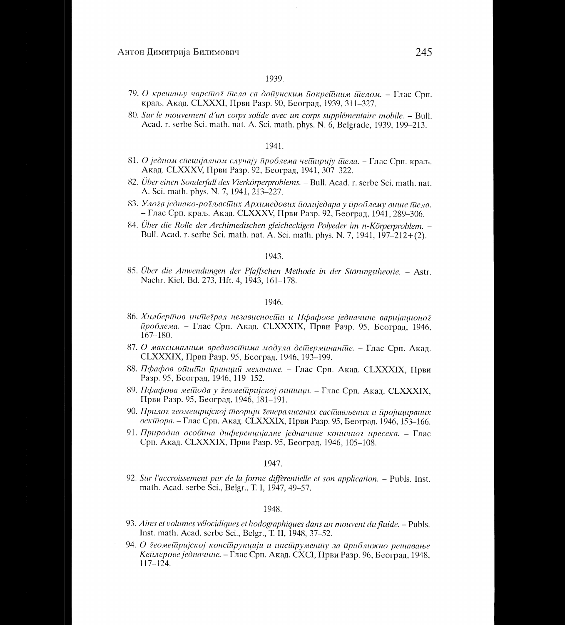- 79. О крейшньу чврсйног йнела са дойунским йокрейним йнелом. Глас Срп. краљ. Акад. CLXXXI, Први Разр. 90, Београд, 1939, 311-327.
- 80. Sur le mouvement d'un corps solide avec un corps supplémentaire mobile. Bull. Acad. r. serbe Sci. math. nat. A. Sci. math. phys. N. 6, Belgrade, 1939, 199-213.

#### 1941.

- 81. О једном специјалном случају проблема чеширију шела. Глас Срп. краљ. Акад. CLXXXV, Први Разр. 92, Београд, 1941, 307-322.
- 82. Über einen Sonderfall des Vierkörperproblems. Bull. Acad. r. serbe Sci. math. nat. A. Sci. math. phys. N. 7, 1941, 213-227.
- 83. Улога једнако-рогљасиних Архимедових иолиједара у ироблему внице шела. - Глас Срп. краљ. Акад. СLXXXV, Први Разр. 92, Београд, 1941, 289-306.
- 84. Über die Rolle der Archimedischen gleicheckigen Polyeder im n-Körperproblem. -Bull. Acad. r. serbe Sci. math. nat. A. Sci. math. phys. N. 7, 1941, 197-212+(2).

#### 1943.

85. Über die Anwendungen der Pfaffschen Methode in der Störungstheorie. - Astr. Nachr. Kiel, Bd. 273, Hft. 4, 1943, 161-178.

#### 1946.

- 86. Хилберійов инійе грал независносійи и Пфафове једначине варијационо ї проблема. - Глас Срп. Акад. CLXXXIX, Први Разр. 95, Београд. 1946,  $167 - 180.$
- 87. О максималним вредносинима модула дейтерминаните. Глас Срп. Акад. CLXXXIX, Први Разр. 95, Београд. 1946, 193-199.
- 88. Пфафов ойшийн йринций механике. Глас Срп. Акад. CLXXXIX, Први Разр. 95, Београд, 1946, 119-152.
- 89. Пфафова мешода у їеомешријској ойшици. Глас Срп. Акад. CLXXXIX, Први Разр. 95, Београд, 1946, 181-191.
- 90. Прилої їсомейдријској йнеорији їенералисаних сасинављених и йројицираних векійора. - Глас Срп. Акад. CLXXXIX, Први Разр. 95, Београд, 1946, 153-166.
- 91. Природна особина диференцијалне једначине коничної йресека. Глас Срп. Акад. CLXXXIX, Први Разр. 95, Београд, 1946, 105-108.

## 1947.

92. Sur l'accroissement pur de la forme diffèrentielle et son application. – Publs. Inst. math. Acad. serbe Sci., Belgr., T. I, 1947, 49–57.

- 93. Aires et volumes vélocidiques et hodographiques dans un mouvent du fluide. Publs. Inst. math. Acad. serbe Sci., Belgr., T. II, 1948, 37-52.
- 94. О теомешријској консшрукцији и инсшруменшу за йриближно решавање Кейлерове једначине. - Глас Срп. Акад. СХСІ, Први Разр. 96, Београд, 1948,  $117 - 124.$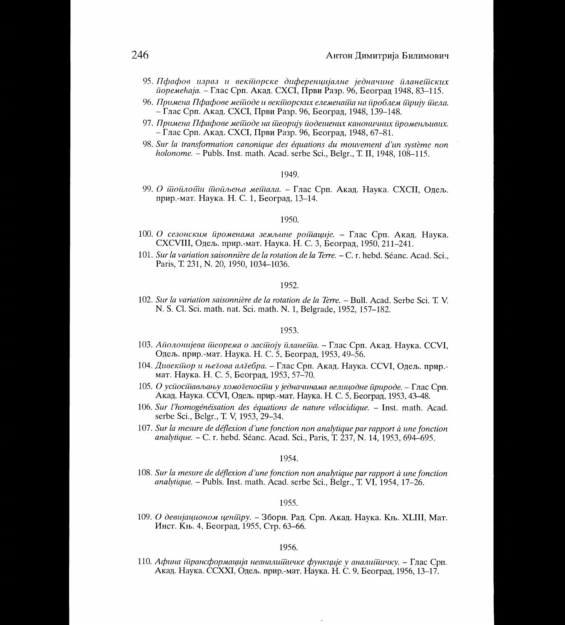- 95. Пфафов израз и векійорске диференцијалне једначине йланейских *поремећаја.* – Глас Срп. Акад. СХСІ, Први Разр. 96, Београд 1948, 83–115.
- 96. Примена Пфафове мейюде и векйюрских елеменай на йроблем йрију йиела. – Глас Срп. Акад. СХСІ, Први Разр. 96, Београд. 1948, 139–148.
- 97. Примена Пфафове мейоде на йдеорију йодешених каноничних йроменљивих. – Глас Срп. Акад. СХСІ, Први Разр. 96, Београд, 1948, 67–81.
- 98. Sur la transformation canonique des équations du mouvement d'un système non holonome. - Publs. Inst. math. Acad. serbe Sci., Belgr., T. II, 1948, 108-115.

99. О шойлойш йойљења мейнала. - Глас Срп. Акад. Наука. СХСІІ, Одељ. прир.-мат. Наука. Н. С. 1, Београд, 13-14.

## 1950.

- 100. О сезонским йроменама земљине ройшије. Глас Срп. Акад. Наука. СХСVIII, Одељ. прир.-мат. Наука. Н. С. 3, Београд, 1950, 211-241.
- 101. Sur la variation saisonnière de la rotation de la Terre. C. r. hebd. Séanc. Acad. Sci.. Paris, T. 231, N. 20, 1950, 1034-1036.

#### 1952.

102. Sur la variation saisonnière de la rotation de la Terre. – Bull. Acad. Serbe Sci. T. V. N. S. Cl. Sci. math. nat. Sci. math. N. 1, Belgrade, 1952, 157–182.

## 1953.

- 103. Айолонијева йисорема о засиноју йланейна. Глас Срп. Акад. Наука. ССVI, Одељ. прир.-мат. Наука. Н. С. 5, Београд, 1953, 49-56.
- 104. Дивекійор и његова алгебра. Глас Срп. Акад. Наука. ССVI, Одељ. прир.мат. Наука. Н. С. 5, Београд, 1953, 57-70.
- 105. О успостављању хомогености у једначинама велицодне природе. Глас Срп. Акад. Наука. ССVI, Одељ. прир.-мат. Наука. Н. С. 5, Београд, 1953, 43-48.
- 106. Sur l'homogénéisation des équations de nature vélocidique. Inst. math. Acad. serbe Sci., Belgr., T. V, 1953, 29–34.
- 107. Sur la mesure de déflexion d'une fonction non analytique par rapport à une fonction *analytique.* – C. r. hebd. Séanc. Acad. Sci., Paris, T. 237, N. 14, 1953, 694–695.

1954.

108. Sur la mesure de déflexion d'une fonction non analytique par rapport à une fonction *analytique.* – Publs. Inst. math. Acad. serbe Sci., Belgr., T. VI, 1954, 17–26.

1955.

109. О девијационом ценииру. - Зборн. Рад. Срп. Акад. Наука. Књ. XLIII, Мат. Инст. Књ. 4, Београд, 1955, Стр. 63-66.

## 1956.

110. Афина ійрансформација неаналийшчке функције у аналийшчку. – Глас Срп. Акад. Наука. ССХХІ, Одељ. прир.-мат. Наука. Н. С. 9, Београд, 1956, 13–17.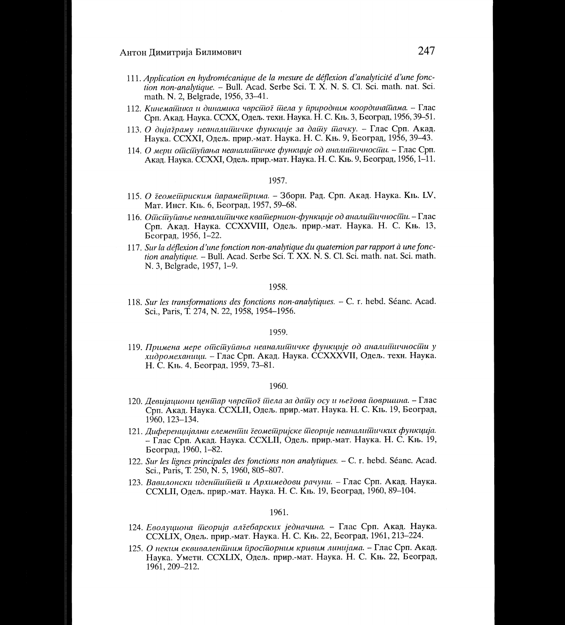- 111. Application en hydromécanique de la mesure de déflexion d'analyticité d'une fonction non-analytique. - Bull. Acad. Serbe Sci. T. X. N. S. Cl. Sci. math. nat. Sci. math. N. 2. Belgrade, 1956, 33-41.
- 112. Кинемайника и динамика чврсійог йіела у йриродним координайнама. Глас Срп. Акад. Наука. ССХХ, Одељ. техн. Наука. Н. С. Књ. 3, Београд, 1956, 39-51.
- 113. О дијаграму неаналийшчке функције за дайцу йлачку. Глас Срп. Акад. Наука. ССХХІ, Одељ. прир.-мат. Наука. Н. С. Књ. 9, Београд, 1956, 39-43.
- 114. О мери опиступања неаналитичке функције од аналитичности. Глас Срп. Акал. Наука. ССХХІ, Одељ. прир.-мат. Наука. Н. С. Књ. 9, Београд, 1956, 1-11.

- 115. О деомейцриским йарамейцрима. Зборн. Рад. Срп. Акад. Наука. Књ. LV, Мат. Инст. Књ. 6, Београд, 1957, 59-68.
- 116. Опиступање неаналитичке кватернион-функције од аналитичности. Глас Срп. Акад. Наука. ССХХVIII, Одељ. прир.-мат. Наука. Н. С. Књ. 13, Београд, 1956, 1-22.
- 117. Sur la déflexion d'une fonction non-analytique du quaternion par rapport à une fonction analytique. – Bull. Acad. Serbe Sci. T. XX. N. S. Cl. Sci. math. nat. Sci. math. N. 3, Belgrade, 1957, 1-9.

## 1958.

118. Sur les transformations des fonctions non-analytiques. - C. r. hebd. Séanc. Acad. Sci., Paris, T. 274, N. 22, 1958, 1954-1956.

#### 1959.

119. Примена мере ойісшуйаньа неаналийіичке функције од аналийіичносйіи у хидромеханици. - Глас Срп. Акад. Наука. CCXXXVII, Одељ. техн. Наука. Н. С. Књ. 4, Београд, 1959, 73-81.

#### 1960.

- 120. Девијациони ценииар чврсиио илела за дашу осу и ње гова површина. Глас Срп. Акад. Наука. ССХLII, Одељ. прир. мат. Наука. Н. С. Књ. 19, Београд,  $1960, 123 - 134.$
- 121. Диференцијални елемении геомешријске шеорије неаналишичких функција. – Глас Срп. Акад. Наука. ССХІЛ, Одељ. прир.-мат. Наука. Н. С. Књ. 19, Београд, 1960, 1-82.
- 122. Sur les lignes principales des fonctions non analytiques. C. r. hebd. Séanc. Acad. Sci., Paris, T. 250, N. 5, 1960, 805-807.
- 123. Вавилонски иденицийей и Архимедови рачуни. Глас Срп. Акад. Наука. ССХLII, Одељ. прир.-мат. Наука. Н. С. Књ. 19, Београд, 1960, 89-104.

- 124. Еволуциона шеорија алгебарских једначина. Глас Срп. Акад. Наука. ССХLIХ, Одељ. прир.-мат. Наука. Н. С. Књ. 22, Београд, 1961, 213-224.
- 125. О неким еквивалениним простнорним кривим линијама. Глас Срп. Акад. Наука. Уметн. CCXLIX, Одељ. прир.-мат. Наука. Н. С. Књ. 22, Београд, 1961, 209-212.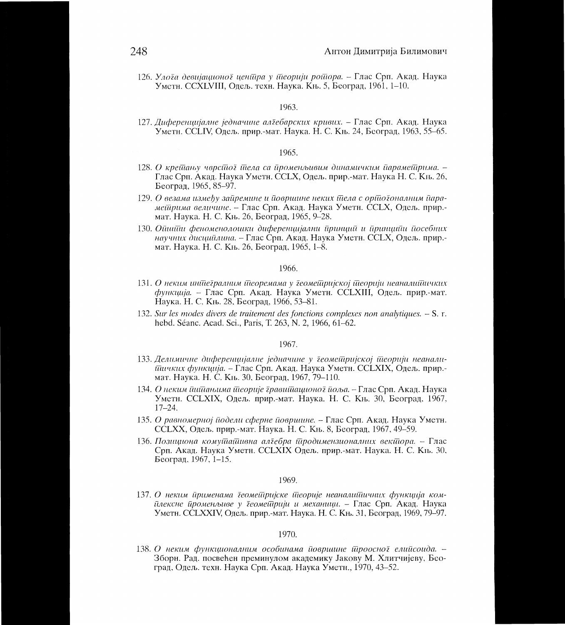126. Улога девијашноног иеншра у шеорији рошора. – Глас Срп. Акад. Наука Уметн. ССХLVIII, Одељ. техн. Наука. Књ. 5, Београд, 1961, 1-10.

## 1963.

127. Диференцијалне једначине алгебарских кривих. – Глас Срп. Акад. Наука Уметн. ССLIV. Одељ. прир.-мат. Наука. Н. С. Књ. 24, Београд, 1963, 55–65.

#### 1965.

- 128. О крейиању чврсійо йела са йроменљивим динамичким йарамейрима. -Глас Срп. Акад. Наука Уметн. ССLХ, Одељ. прир.-мат. Наука Н. С. Књ. 26, Београд, 1965, 85-97.
- 129. О везама између зайремине и йовршине неких йдела с орійогоналним йарамейдрима величине. - Глас Срп. Акад. Наука Уметн. ССLX, Одељ. прир.мат. Наука. Н. С. Књ. 26. Београд, 1965, 9-28.
- 130. Ойшйи феноменолошки диференцијални йринций и йринцийи йосебних научних дисцийлина. – Глас Срп. Акад. Наука Уметн. ССLX, Одељ. прир.мат. Наука. Н. С. Књ. 26, Београд, 1965, 1-8.

#### 1966.

- 131. О неким иншегралним шеоремама у геомещријској шеорији неаналишичких функција. - Глас Срп. Акад. Наука Уметн. ССLXIII, Одељ. прир.-мат. Наука. Н. С. Књ. 28, Београд, 1966, 53-81.
- 132. Sur les modes divers de traitement des fonctions complexes non analytiques. S. r. hebd. Séanc. Acad. Sci., Paris, T. 263, N. 2, 1966, 61-62.

#### 1967.

- 133. Делимичне диференцијалне једначине у деометријској теорији неаналипиниких функција. - Глас Срп. Акад. Наука Уметн. ССLXIX, Одељ. прир.мат. Наука. Н. С. Књ. 30, Београд, 1967, 79-110.
- 134. О неким ининањима шеорије гравишационог иоља. Глас Срп. Акад. Наука Уметн. ССLХIХ, Одељ. прир.-мат. Наука. Н. С. Књ. 30, Београд, 1967,  $17 - 24$ .
- 135. О равномерној йодели сферне йовршине. Глас Срп. Акад. Наука Уметн. ССLXX, Одељ. прир.-мат. Наука. Н. С. Књ. 8, Београд, 1967, 49-59.
- 136. Позициона комушашивна алгебра шродимензионалних векшора. Глас Срп. Акад. Наука Уметн. ССLXIX Одељ. прир.-мат. Наука. Н. С. Књ. 30, Београд, 1967, 1-15.

#### 1969.

137. О неким применама деометријске теорије неаналитичних функција комплексне променљиве у деометрији и механици. - Глас Срп. Акад. Наука Уметн. CCLXXIV, Одељ. прир.-мат. Наука. Н. С. Књ. 31, Београд, 1969, 79-97.

### 1970.

138. О неким функционалним особинама йовршине йроосної елийсоида. -Зборн. Рад. посвећен преминулом академику Јакову М. Хлитчијеву, Београд, Одељ. техн. Наука Срп. Акад. Наука Уметн., 1970, 43-52.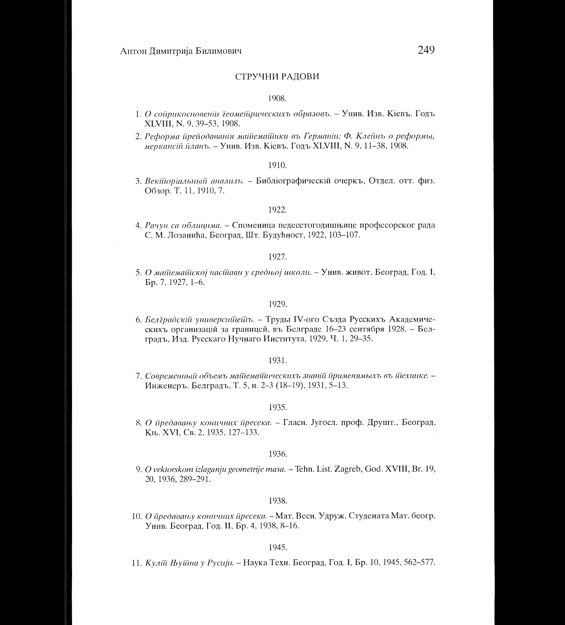## СТРУЧНИ РАДОВИ

## 1908.

- 1. О сойрикосновении їеомей рическихъ образовъ. Унив. Изв. Кіевъ. Годъ XLVIII, N. 9, 39-53, 1908.
- 2. Реформа йрейодаванія майемайшки въ Германіи: Ф. Клейнъ о реформы, меркансій планъ. – Унив. Изв. Кіевъ. Годъ XLVIII, N. 9, 11–38, 1908.

## 1910

3. Векшоріальный анализъ. - Библіографическій очеркъ, Отдел. отт. физ. Обзор. Т. 11, 1910, 7.

## 1922.

4. Рачун са облицима. - Споменица педесетогодишњице професорског рада С. М. Лозанића, Београд, Шт. Будућност, 1922, 103-107.

## 1927.

5. О майдемайској насидави у средњој школи. - Унив. живот, Београд, Год. I, Бр. 7, 1927, 1-6.

#### 1929.

6. Белїрадскій универсийнейть. - Труды IV-ого Създа Русскихъ Академическихъ организацій за границей, въ Белграде 16-23 сентября 1928. – Белградъ, Изд. Русскаго Нучнаго Института, 1929, Ч. 1, 29-35.

#### 1931.

7. Современный объемъ майдемайническихъ знаній йрименямыхъ въ йдехнике. -Инженеръ. Белградъ, Т. 5, н. 2-3 (18-19), 1931, 5-13.

#### 1935.

8. О предавању коничних пресека. – Гласн. Југосл. проф. Друшт., Београд, Књ. XVI, Св. 2, 1935, 127-133.

#### 1936.

9. O vektorskom izlaganju geometrije masa. - Tehn. List. Zagreb, God. XVIII, Br. 19, 20, 1936, 289-291.

## 1938.

10. О предавању коничних пресека. - Мат. Весн. Удруж. Студената Мат. беогр. Унив. Београд, Год. II, Бр. 4, 1938, 8-16.

#### 1945.

11. Кулій Њуйна у Русији. – Наука Техн. Београд, Год. I, Бр. 10, 1945, 562–577.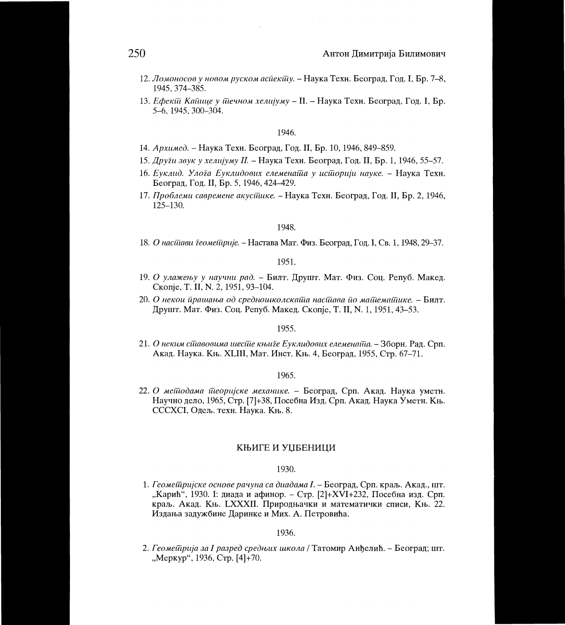- 12. Ломоносов у новом руском асйекий у. Наука Техн. Београд, Год. I, Бр. 7-8, 1945. 374-385.
- 13. Ефекти Кайшце у тиечном хелијуму II. Наука Техн. Београд, Год. I, Бр. 5-6, 1945, 300-304.

- 14. Архимед. Наука Техн. Београд, Год. II, Бр. 10, 1946, 849–859.
- 15. Други звук у хелијуму II. Наука Техн. Београд, Год. II, Бр. 1, 1946, 55–57.
- 16. Еуклид. Улода Еуклидових елеменаща у историји науке. Наука Техн. Београд, Год. II, Бр. 5, 1946, 424-429.
- 17. Проблеми савремене акусшике. Наука Техн. Београд, Год. II, Бр. 2, 1946,  $125 - 130.$

#### 1948.

18. О насійня геомейције. – Настава Мат. Физ. Београд, Год. I, Св. 1, 1948, 29–37.

## 1951.

- 19. О улажењу у научни рад. Билт. Друшт. Мат. Физ. Соц. Репуб. Макед. Скопје, Т. II, N. 2, 1951, 93-104.
- 20. О некои йрашања од средношколскай а насидава йо майемайшке. Билт. Друшт. Мат. Физ. Соц. Репуб. Макед. Скопје, Т. II, N. 1, 1951, 43-53.

## 1955.

21. О неким сійавовима шесійе књиге Еуклидових елеменайда. – Зборн. Рад. Срп. Акад. Наука. Књ. XLIII, Мат. Инст. Књ. 4, Београд, 1955, Стр. 67-71.

#### 1965.

22. О методама теоријске механике. - Београд, Срп. Акад. Наука уметн. Научно дело, 1965, Стр. [7]+38, Посебна Изд. Срп. Акад. Наука Уметн. Књ. СССХСІ, Одељ. техн. Наука. Књ. 8.

## КЊИГЕ И УЏБЕНИЦИ

## 1930.

1. Геомешријске основе рачуна са диадама I. - Београд, Срп. краљ. Акад., шт. "Карић", 1930. І: диада и афинор. - Стр. [2]+XVI+232, Посебна изд. Срп. краљ. Акад. Књ. LXXXII. Природњачки и математички списи, Књ. 22. Издања задужбине Даринке и Мих. А. Петровића.

## 1936.

2. Геомешрија за I разред средњих школа / Татомир Анђелић. – Београд; шт. "Меркур", 1936, Стр. [4]+70.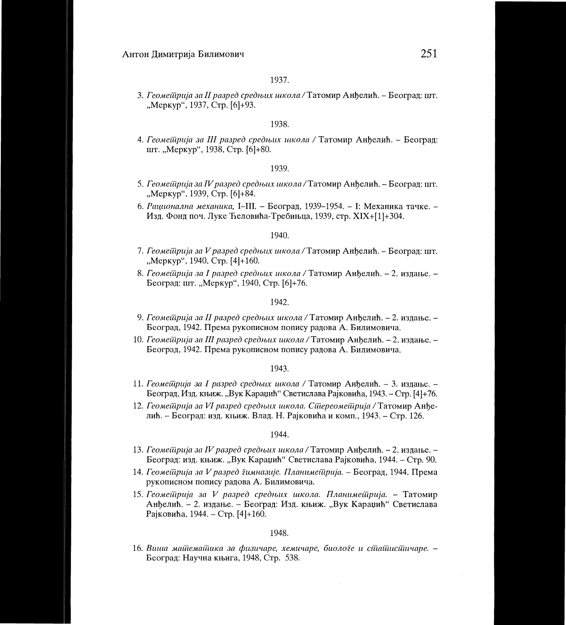*3. Геомейдрија за II разред средњих школа* / Татомир Анђелић. – Београд: шт. "Меркур", 1937, Стр. [6]+93.

## 1938.

4. Геомешрија за III разред средњих школа / Татомир Анђелић. - Београд: шт. "Меркур", 1938, Стр. [6]+80.

#### 1939.

- *5. Геомещрија за IV разред средњих школа* / Татомир Анђелић. Београд: шт. "MepKyp", 1939, CTp. [6]+84.
- 6. Рационална механика, I-III. Београд, 1939-1954. I: Механика тачке. -Изд. Фонд поч. Луке Ћеловића-Требињца, 1939, стр. XIX+[1]+304.

#### 1940.

- *7. Геомейцрија за V разред средњих школа* / Татомир Анђелић. Београд: шт. ., Меркур", 1940, Стр. [4]+160.
- 8. Геомейрија за I разред средњих школа / Татомир Анђелић. 2. издање. -Beorpag: HIT. "MepKyp", 1940, CTp. [6)+76.

## 1942.

- 9. Геомешрија за II разред средњих школа / Татомир Анђелић. 2. издање. -Београд, 1942. Према рукописном попису радова А. Билимовича.
- 10. Геомейдрија за III разред средњих школа / Татомир Анђелић. 2. издање. -Београд, 1942. Према рукописном попису радова А. Билимовича.

## 1943.

- 11. *Геомейдрија за I разред средњих школа* / Татомир Анђелић. 3. издање. -Београд, Изд. књиж. "Вук Караџић" Светислава Рајковића, 1943. – Стр. [4]+76.
- 12. Геомейрија за VI разред средњих школа. Сійереомейрија / Татомир Анђелић. - Београд: изд. књиж. Влад. Н. Рајковића и комп., 1943. - Стр. 126.

#### 1944.

- 13. Геомейдрија за IV разред средњих школа / Татомир Анђелић. 2. издање. -Београд: изд. књиж. "Вук Караџић" Светислава Рајковића, 1944. – Стр. 90.
- 14. Геомеїйрија за V разред *їимназије. Планимеїйрија.* Београд, 1944. Према pyK01114CHOM riormcy pagoBa A. **BHJIHMOBYPIa.**
- 15. Геомейрија за V разред средњих школа. Планимейрија. Татомир Анђелић. - 2. издање. - Београд: Изд. књиж. "Вук Караџић" Светислава PajKomha, 1944. - CTp. [4]+160.

## 1948.

16. Виша майдемайшка за физичаре, хемичаре, биологе и сійайшсийчаре. -Београд: Научна књига, 1948, Стр. 538.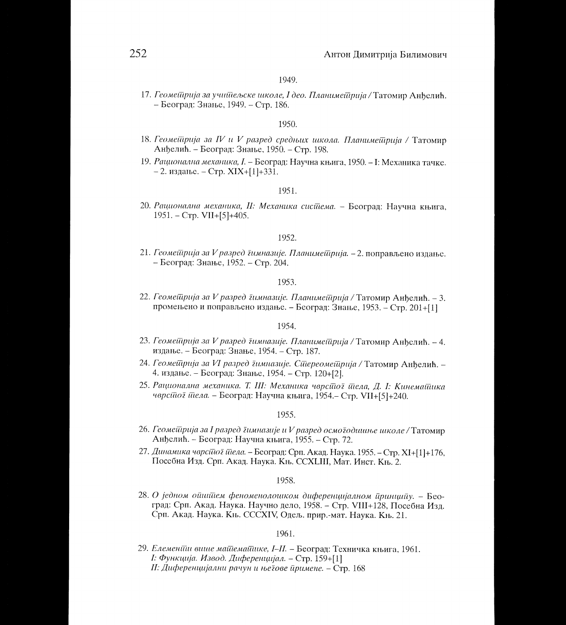*17. Геомещрија за учищељске школе, I део. Планимещрија* / Татомир Анђелић. - Beorpaj: 3Haibe, 1949. - CTp. 186.

## 1950

- 18. Геомейдрија за IV и V разред средњих школа. Планимейдрија / Татомир Анђелић. - Београд: Знање, 1950. - Стр. 198.
- 19. Рационална механика, I. Београд: Научна књига, 1950. I: Механика тачке.  $- 2.$  издање. - Стр. XIX+[1]+331.

## 1951.

*20. Рационална механика, II: Механика систаема. – Београд: Научна књига,* 1951. - CTp. VII+[5]+405.

## 1952.

21. *Геомейдрија за V разред*  $\bar{\imath}$ *имназије. Планимейдрија. - 2.* поправљено издање. - Београд: Знање, 1952. - Стр. 204.

## 1953.

22. Геометрија за V разред димназије. Планиметрија / Татомир Анђелић. - 3. промењено и поправљено издање. - Београд: Знање, 1953. - Стр. 201+[1]

#### 1954.

- 23. Геомешрија за V разред *їимназије. Планиме*шрија / Татомир Анђелић. 4. издање. – Београд: Знање, 1954. – Стр. 187.
- *24. reametripuja 3a VI pa3peo 2mmua3uje. CiTtepeomeffipuja /* TaTomnp Afibemth. 4. издање. – Београд: Знање, 1954. – Стр. 120+[2].
- 25. Рационална механика. Т. III: Механика чврсійо ї *йела, Д. І: Кинемайшка чврсійо і йела.* – Београд: Научна књига, 1954.– Стр. VII+[5]+240.

1955.

- $26.$  *Геоме* $\bar{u}$ *рија за I разред*  $\bar{\imath}$ *имназије и V разред осмо* $\bar{\imath}$ *одишње школе* / Татомир Анђелић. - Београд: Научна књига, 1955. - Стр. 72.
- 27. Динамика чврсійо і йела. Београд: Срп. Акад. Наука. 1955. Стр. XI+[1]+176, Hoce6Ha I/13g. Cpn. AKag. HayKa. KIb. CCXLIII, MaT. I4HCT. Kib. 2.

1958.

28. О једном ойшйем феноменолошком диференцијалном *йринцийу*. - Београд: Срп. Акад. Наука. Научно дело, 1958. – Стр. VIII+128, Посебна Изд. Срп. Акад. Наука. Књ. СССХIV, Одељ. прир.-мат. Наука. Књ. 21.

## 1961.

29. *Елемении више майтемайшке, I-II.* – Београд: Техничка књига, 1961. *І*: Функција. Извод. Диференцијал. - Стр. 159+[1] *II: Диференцијални рачун и његове иримене. - Стр.* 168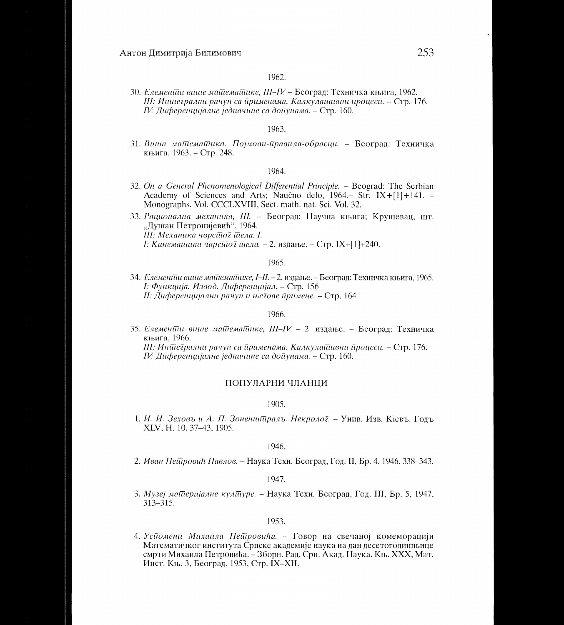30. Елеменійн више майдемайшке, Ш-IV. - Београд: Техничка књига, 1962. III: Иншегрални рачун са йрименама. Калкулайшвни йроцеси. - Стр. 176. IV: Диференцијалне једначине са дойунама. - Стр. 160.

## 1963.

31. Виша майемайшка. Појмови-йравила-обрасци. - Београд: Техничка књига, 1963. – Стр. 248.

## 1964

- 32. On a General Phenomenological Differential Principle. Beograd: The Serbian Academy of Sciences and Arts; Naučno delo, 1964. Str. IX+[1]+141. -Monographs. Vol. CCCLXVIII, Sect. math. nat. Sci. Vol. 32.
- 33. Рационална механика, III. Београд: Научна књига; Крушевац, шт. "Душан Петронијевић", 1964. III: Механика чврсійої йела. І. I: Кинемайшка чврсйот йела. - 2. издање. - Стр. IX+[1]+240.

## 1965.

34. *Елемении више майиемайшке, I-II.* - 2. издање. – Београд: Техничка књига, 1965. І: Функција. Извод. Диференцијал. - Стр. 156 II: Диференцијални рачун и његове йримене. - Стр. 164

#### 1966.

35. Елемении внше машемашике, III-IV. - 2. издање. - Београд: Техничка књига, 1966.

III: Иншегрални рачун са йрименама. Калкулашивни йроцеси. - Стр. 176. IV: Диференцијалне једначине са дойунама. - Стр. 160.

## ПОПУЛАРНИ ЧЛАНЦИ

#### 1905.

1. И. И. Зеховъ и А. П. Зоненшии ралъ. Некролої. - Унив. Изв. Кіевъ. Годъ XLV, H. 10, 37-43, 1905.

#### 1946.

2. Иван Пешровић Павлов. - Наука Техн. Београд, Год. II, Бр. 4, 1946, 338-343.

#### 1947.

3. Музеј машеријалне кулшуре. – Наука Техн. Београд, Год. III, Бр. 5, 1947,  $313 - 315$ .

#### 1953.

4. Успомени Михаила Петровића. - Говор на свечаној комеморацији Математичког института Српске академије наука на дан десетогодишњице смрти Михаила Петровића. - Зборн. Рад. Срп. Акад. Наука. Књ. XXX, Мат. Инст. Књ. 3, Београд, 1953, Стр. IX-XII.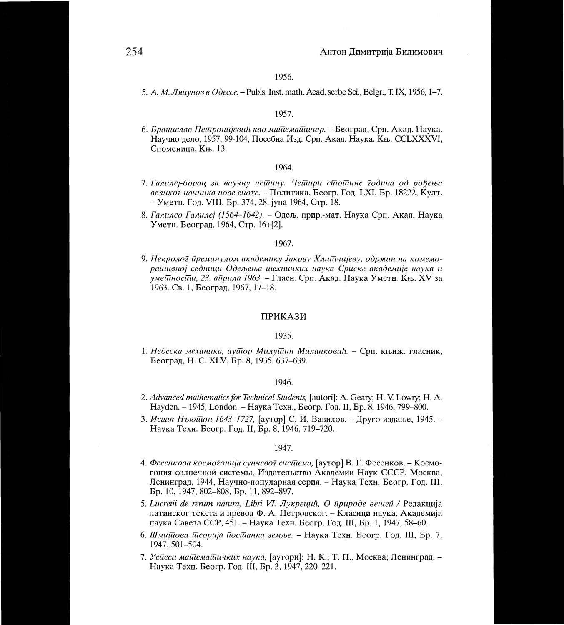5. A. *M..11ilaytwe e 0Oecce. —* Publs. Inst. math. Acad. serbe Sci., Belgr., T. IX, 1956, 1-7.

#### 1957.

*6. Бранислав Пейдронијевић као майдемайциар. – Београд, Срп. Акад. Наука.* Научно дело, 1957, 99-104, Посебна Изд. Срп. Акад. Наука. Књ. CCLXXXVI, Споменица, Књ. 13.

## 1964.

- *7. ra.aufzej-6opaq* **3a** *ttayttuy uctItutty. tleffttipu clitotTittue iodulta* oo *poberba*  велико*ї начника нове ейохе.* – Политика, Беогр. Год. LXI, Бр. 18222, Култ. — YMeTH. Fog. VIII, Bp. 374, 28. jpia 1964, CTp. 18.
- 8. Галилео Галилеј (1564-1642). Одељ. прир.-мат. Наука Срп. Акад. Наука Уметн. Београд, 1964, Стр. 16+[2].

#### 1967.

9. Некроло*ї йреминулом академику Јакову Хлийчијеву, одржан на комемоpatTateitoj ceatuttyt 06e.rbetba tileXiilitIKUX ttayKa CpacKe atathemuje uayKa tt умейносии, 23. айрила 1963. – Гласн. Срп. Акад. Наука Уметн. Књ. XV за* 1963. Св. 1, Београд, 1967, 17-18.

## IIPHKA3H

#### 1935.

1. *Небеска механика, аушор Милушин Миланковић.* – Срп. књиж. гласник, Beorpaj, H. C. XLV, Bp. 8, 1935, 637-639.

#### 1946.

- *2. Advanced mathematics for Technical Students,* [autori]: A. Geary; H. V. Lowry; H. A. Hayden. — 1945, London. — HayKa TexH., Beorp. Fog. II, Bp. 8, 1946, 799-800.
- *3. HcaaK Thilotitott 1643-1727,* [ayTop] C. H. **BaBHJI0B. Apyro** H3gaibe, 1945. Hayxa TexH. Beorp. Fog. II, Bp. 8, 1946, 719-720.

- 4. Фесенкова космо*їонија сунчевої сисійема*, [аутор] В. Г. Фесенков. Космогония солнечной системы, Издательство Академии Наук СССР, Москва, Ленинград, 1944, Научно-популарная серия. - Наука Техн. Беогр. Год. III, Bp. 10, 1947, 802-808, Bp. 11, 892-897.
- 5. Lucretii de rerum natura, Libri VI. Лукреций, О *йрироде вешей* / Редакција латинског текста и превод Ф. А. Петровског. – Класици наука, Академија наука Савеза ССР, 451. - Наука Техн. Беогр. Год. III, Бр. 1, 1947, 58-60.
- *6. IllmutTioea titeopuja noctitattKa* HayKa TexH. Beorp. Fog. III, Bp. 7, 1947, 501-504.
- *7. Усйеси майдемайдичких наука*, [аутори]: Н. К.; Т. П., Москва; Ленинград. Hayxa TexH. Beorp. Fog. III, Bp. 3, 1947, 220-221.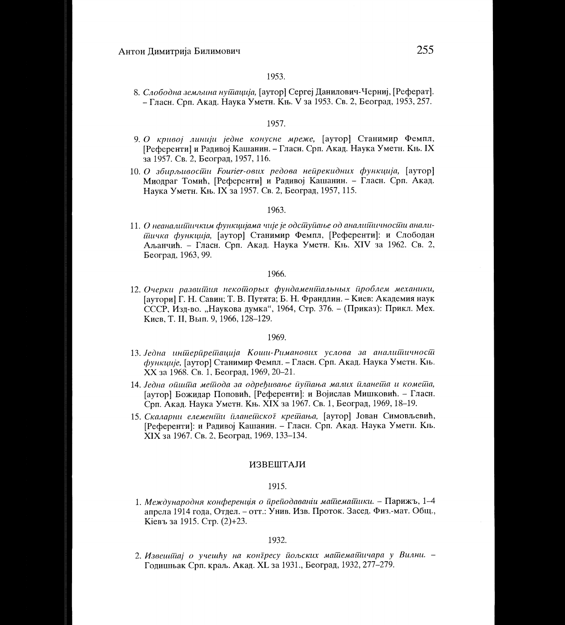8. Слободна земљина нушација, [аутор] Сергеј Данилович-Черниј, [Реферат]. – Гласн. Срп. Акад. Наука Уметн. Књ. V за 1953. Св. 2, Београд, 1953, 257.

## 1957.

- 9. О кривој линији једне конусне мреже, [аутор] Станимир Фемпл, [Референти] и Радивој Кашанин. – Гласн. Срп. Акад. Наука Уметн. Књ. IX за 1957. Св. 2, Београд, 1957, 116.
- 10. О збирљивосии Fourier-ових редова нейрекидних функција, [аутор] Миодраг Томић, [Референти] и Радивој Кашанин. - Гласн. Срп. Акад. Наука Уметн. Књ. IX за 1957. Св. 2, Београд, 1957, 115.

#### 1963.

11. О неаналийниким функцијама чије је одсицуйање од аналийшиносий аналипичка функција, [аутор] Станимир Фемпл, [Референти]: и Слободан Аљанчић. - Гласн. Срп. Акад. Наука Уметн. Књ. XIV за 1962. Св. 2, Београд, 1963, 99.

#### 1966.

12. Очерки развийния некойорых фундаменийльных йроблем механики, [аутори] Г. Н. Савин; Т. В. Путята; Б. Н. Франдлин. - Киев: Академия наук СССР, Изд-во. "Наукова думка", 1964, Стр. 376. – (Приказ): Прикл. Мех. Киев, Т. II, Вып. 9, 1966, 128-129.

## 1969.

- 13. Једна иншерирешација Коши-Риманових услова за аналишичносш функције, [аутор] Станимир Фемпл. - Гласн. Срп. Акад. Наука Уметн. Књ. ХХ за 1968. Св. 1, Београд, 1969, 20-21.
- 14. Једна ойший мейода за одређивање йуйања малих иланейта и комейта, [аутор] Божидар Поповић, [Референти]: и Војислав Мишковић. - Гласн. Срп. Акад. Наука Уметн. Књ. XIX за 1967. Св. 1, Београд, 1969, 18-19.
- 15. Скаларни елеменійи йланейскої крейнана, [аутор] Јован Симовљевић, [Референти]: и Радивој Кашанин. - Гласн. Срп. Акад. Наука Уметн. Књ. ХІХ за 1967. Св. 2, Београд, 1969, 133-134.

## ИЗВЕШТАЈИ

## 1915.

1. Международня конференція о йрейодаваніи майемайшки. - Парижъ, 1-4 апрела 1914 года, Отдел. - отт.: Унив. Изв. Проток. Засед. Физ.-мат. Общ., Кіевъ за 1915. Стр. (2)+23.

#### 1932.

2. Извешийај о учешћу на конгресу йољских майдемайшчара у Вилни. -Годишњак Срп. краљ. Акад. XL за 1931., Београд, 1932, 277-279.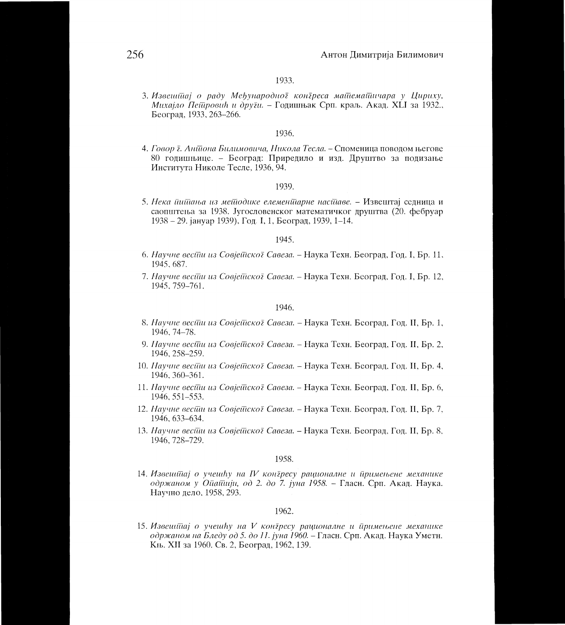3. Извешійаі о раду Међународної коніреса майдемайшчара у Цириху, Михајло Пейдровић и други. – Годишњак Срп. краљ. Акад. XLI за 1932., Београд, 1933, 263-266.

## 1936.

4. Говор ї. Анійона Билимовича, Никола Тесла. - Споменица поводом његове 80 годишњице. - Београд: Приредило и изд. Друштво за подизање Института Николе Тесле, 1936, 94.

#### 1939.

5. Нека йшйања из мейодике елеменйцарне насидаве. - Извештај седница и саопштења за 1938. Југословенског математичког друштва (20. фебруар 1938 – 29. јануар 1939), Год. I, 1, Београд, 1939, 1–14.

## 1945.

- 6. Научне весіїш из Совјейскої Савеза. Наука Техн. Београд, Год. I, Бр. 11, 1945, 687.
- 7. Научне весійи из Совјейскої Савеза. Наука Техн. Београд, Год. I, Бр. 12, 1945, 759-761.

#### 1946.

- 8. Научне весійн на Совјейскої Савеза. Наука Техн. Београд, Год. II, Бр. 1, 1946, 74-78.
- 9. Научне весійн на Совјейской Савеза. Наука Техн. Београд, Год. II, Бр. 2, 1946, 258-259.
- 10. Научне весійи из Совјейскої Савеза. Наука Техн. Београд, Год. II, Бр. 4, 1946, 360-361.
- 11. Научне весійи из Совјейскої Савеза. Наука Техн. Београд, Год. II, Бр. 6, 1946, 551-553.
- 12. Научне весійн на Совјейскої Савеза. Наука Техн. Београд, Год. II, Бр. 7, 1946, 633-634.
- 13. Научне весійи из Совјейскої Савеза. Наука Техн. Београд, Год. II, Бр. 8, 1946, 728-729.

#### 1958.

14. Извешитај о учешћу на IV контресу рационалне и тримењене механике одржаном у Ойайшін, од 2. до 7. јуна 1958. - Гласн. Срп. Акад. Наука. Научно дело, 1958, 293.

## 1962.

15. Извешійај о учешћу на V контресу рационалне и йримењене механике одржаном на Бледу од 5. до 11. јуна 1960. – Гласн. Срп. Акад. Наука Уметн. Књ. XII за 1960. Св. 2, Београд, 1962, 139.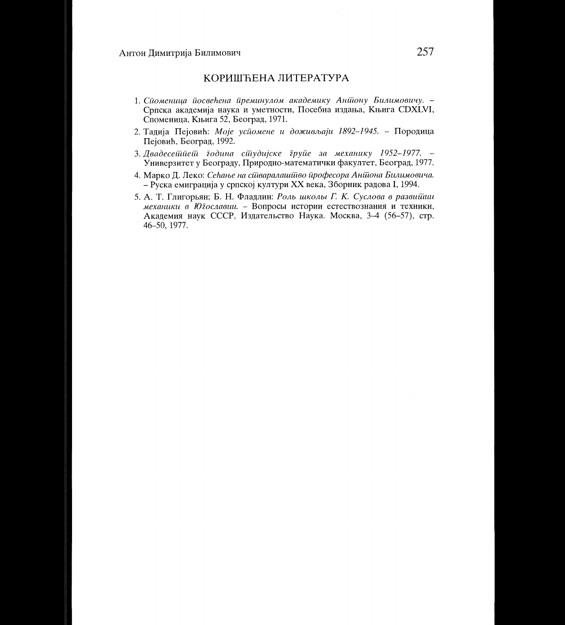## КОРИШЋЕНА ЛИТЕРАТУРА

- 1. Сиоменица иосвећена иреминулом академику Аншону Билимовичу. -Српска академија наука и уметности, Посебна издања, Књига СDXLVI, Споменица, Књига 52, Београд, 1971.
- 2. Тадија Пејовић: Моје усиомене и доживљаји 1892-1945. Породица Пејовић, Београд, 1992.
- 3. Двадесеййней додина сйудијске друйе за механику 1952-1977. -Универзитет у Београду, Природно-математички факултет, Београд, 1977.
- 4. Марко Д. Леко: Сећање на сшваралашшво професора Аншона Билимовича. - Руска емиграција у српској култури XX века, Зборник радова I, 1994.
- 5. А. Т. Глигорьян; Б. Н. Фладлин: Роль школы Г. К. Суслова в развишии механики в Ютославии. - Вопросы истории естествознания и техники, Академия наук СССР, Издательство Наука. Москва, 3-4 (56-57), стр. 46-50, 1977.